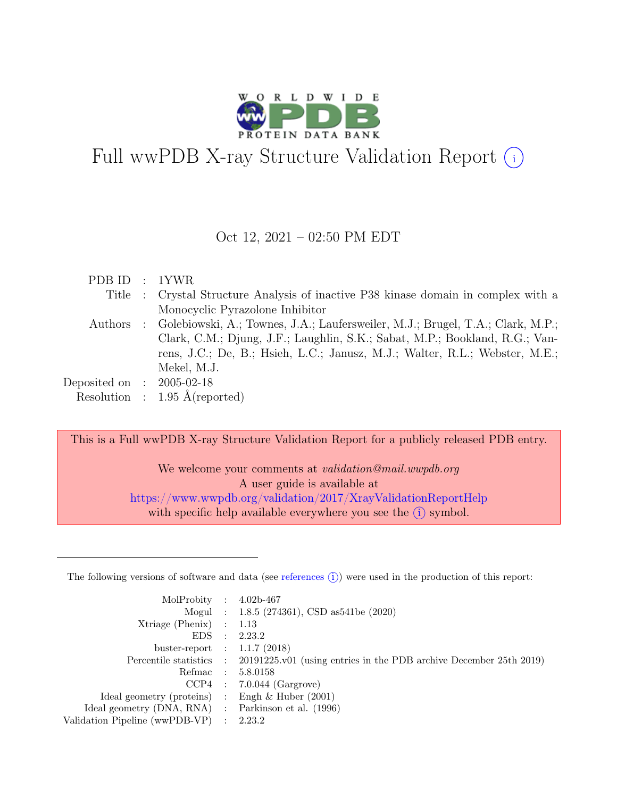

# Full wwPDB X-ray Structure Validation Report  $(i)$

#### Oct 12, 2021 – 02:50 PM EDT

| PDB ID : 1YWR               |                                                                                          |
|-----------------------------|------------------------------------------------------------------------------------------|
|                             | Title : Crystal Structure Analysis of inactive P38 kinase domain in complex with a       |
|                             | Monocyclic Pyrazolone Inhibitor                                                          |
|                             | Authors : Golebiowski, A.; Townes, J.A.; Laufersweiler, M.J.; Brugel, T.A.; Clark, M.P.; |
|                             | Clark, C.M.; Djung, J.F.; Laughlin, S.K.; Sabat, M.P.; Bookland, R.G.; Van-              |
|                             | rens, J.C.; De, B.; Hsieh, L.C.; Janusz, M.J.; Walter, R.L.; Webster, M.E.;              |
|                             | Mekel, M.J.                                                                              |
| Deposited on : $2005-02-18$ |                                                                                          |
|                             | Resolution : $1.95 \text{ Å}$ (reported)                                                 |

This is a Full wwPDB X-ray Structure Validation Report for a publicly released PDB entry.

We welcome your comments at validation@mail.wwpdb.org A user guide is available at <https://www.wwpdb.org/validation/2017/XrayValidationReportHelp> with specific help available everywhere you see the  $(i)$  symbol.

The following versions of software and data (see [references](https://www.wwpdb.org/validation/2017/XrayValidationReportHelp#references)  $(i)$ ) were used in the production of this report:

| MolProbity : $4.02b-467$                            |                                                                                            |
|-----------------------------------------------------|--------------------------------------------------------------------------------------------|
|                                                     | Mogul : 1.8.5 (274361), CSD as541be (2020)                                                 |
| $Xtriangle (Phenix)$ : 1.13                         |                                                                                            |
|                                                     | EDS : 2.23.2                                                                               |
| buster-report : $1.1.7$ (2018)                      |                                                                                            |
|                                                     | Percentile statistics : 20191225.v01 (using entries in the PDB archive December 25th 2019) |
|                                                     | Refmac : 5.8.0158                                                                          |
|                                                     | $CCP4$ : 7.0.044 (Gargrove)                                                                |
| Ideal geometry (proteins) : Engh $\&$ Huber (2001)  |                                                                                            |
| Ideal geometry (DNA, RNA) : Parkinson et al. (1996) |                                                                                            |
| Validation Pipeline (wwPDB-VP) : $2.23.2$           |                                                                                            |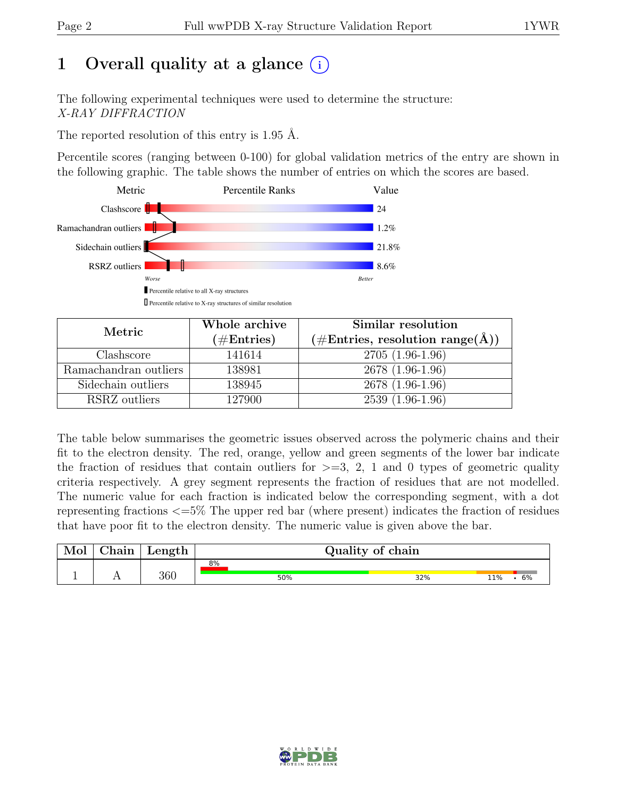# 1 Overall quality at a glance  $(i)$

The following experimental techniques were used to determine the structure: X-RAY DIFFRACTION

The reported resolution of this entry is 1.95 Å.

Percentile scores (ranging between 0-100) for global validation metrics of the entry are shown in the following graphic. The table shows the number of entries on which the scores are based.



| Metric                | Whole archive | Similar resolution                    |
|-----------------------|---------------|---------------------------------------|
|                       | $(\#Entries)$ | (#Entries, resolution range( $\AA$ )) |
| Clashscore            | 141614        | $2705(1.96-1.96)$                     |
| Ramachandran outliers | 138981        | 2678 (1.96-1.96)                      |
| Sidechain outliers    | 138945        | 2678 (1.96-1.96)                      |
| RSRZ outliers         | 127900        | $2539(1.96-1.96)$                     |

The table below summarises the geometric issues observed across the polymeric chains and their fit to the electron density. The red, orange, yellow and green segments of the lower bar indicate the fraction of residues that contain outliers for  $>=$  3, 2, 1 and 0 types of geometric quality criteria respectively. A grey segment represents the fraction of residues that are not modelled. The numeric value for each fraction is indicated below the corresponding segment, with a dot representing fractions <=5% The upper red bar (where present) indicates the fraction of residues that have poor fit to the electron density. The numeric value is given above the bar.

| 8%         | Length |  | $\gamma$ hain |  | Quality of chain |           |
|------------|--------|--|---------------|--|------------------|-----------|
| 360<br>50% |        |  |               |  | 32%              | 11%<br>6% |

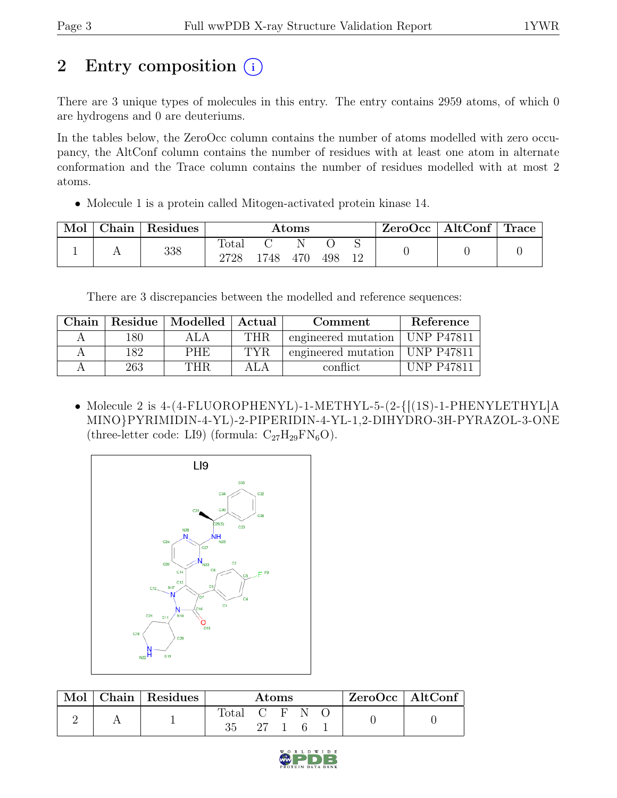# 2 Entry composition (i)

There are 3 unique types of molecules in this entry. The entry contains 2959 atoms, of which 0 are hydrogens and 0 are deuteriums.

In the tables below, the ZeroOcc column contains the number of atoms modelled with zero occupancy, the AltConf column contains the number of residues with at least one atom in alternate conformation and the Trace column contains the number of residues modelled with at most 2 atoms.

• Molecule 1 is a protein called Mitogen-activated protein kinase 14.

| Mol | Chain Residues |               |     | Atoms |     |    | ZeroOcc | $\mid$ AltConf $\mid$ Trace |  |
|-----|----------------|---------------|-----|-------|-----|----|---------|-----------------------------|--|
|     | 338            | Total<br>2728 | 748 | 470   | 498 | 12 |         |                             |  |

There are 3 discrepancies between the modelled and reference sequences:

| Chain |     | Residue   Modelled   Actual |      | Comment                          | Reference         |
|-------|-----|-----------------------------|------|----------------------------------|-------------------|
|       | 180 |                             | THR  | engineered mutation   UNP P47811 |                   |
|       | 182 | <b>PHE</b>                  | TYR. | engineered mutation   UNP P47811 |                   |
|       | 263 | THR                         |      | conflict                         | <b>UNP P47811</b> |

• Molecule 2 is 4-(4-FLUOROPHENYL)-1-METHYL-5-(2-{[(1S)-1-PHENYLETHYL]A MINO}PYRIMIDIN-4-YL)-2-PIPERIDIN-4-YL-1,2-DIHYDRO-3H-PYRAZOL-3-ONE (three-letter code: LI9) (formula:  $C_{27}H_{29}FN_6O$ ).



|  | Chain Residues |                |         | Atoms |  | ZeroOcc   AltConf |
|--|----------------|----------------|---------|-------|--|-------------------|
|  |                | $_{\rm Total}$ | (' F' N |       |  |                   |

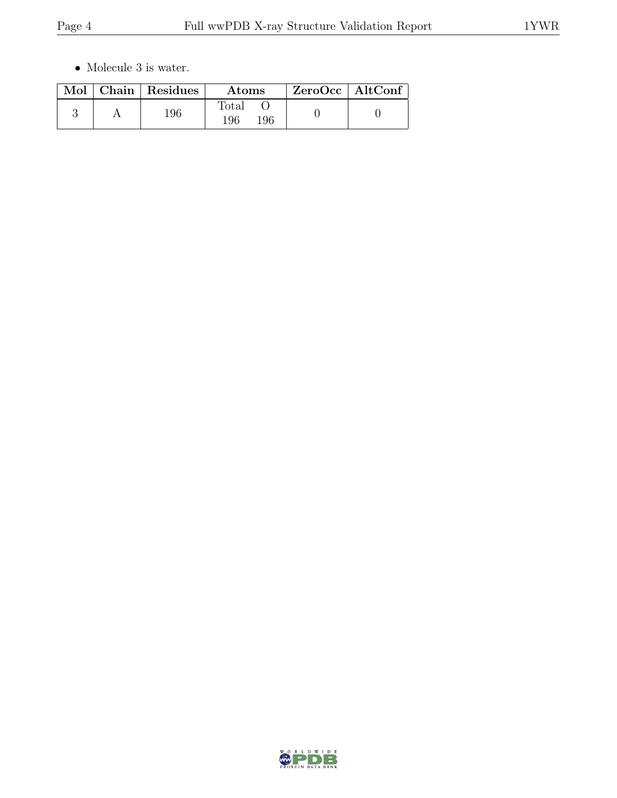$\bullet\,$  Molecule 3 is water.

|  | Mol   Chain   Residues | <b>Atoms</b>        | ZeroOcc   AltConf |  |
|--|------------------------|---------------------|-------------------|--|
|  | 196                    | Total<br>196<br>196 |                   |  |

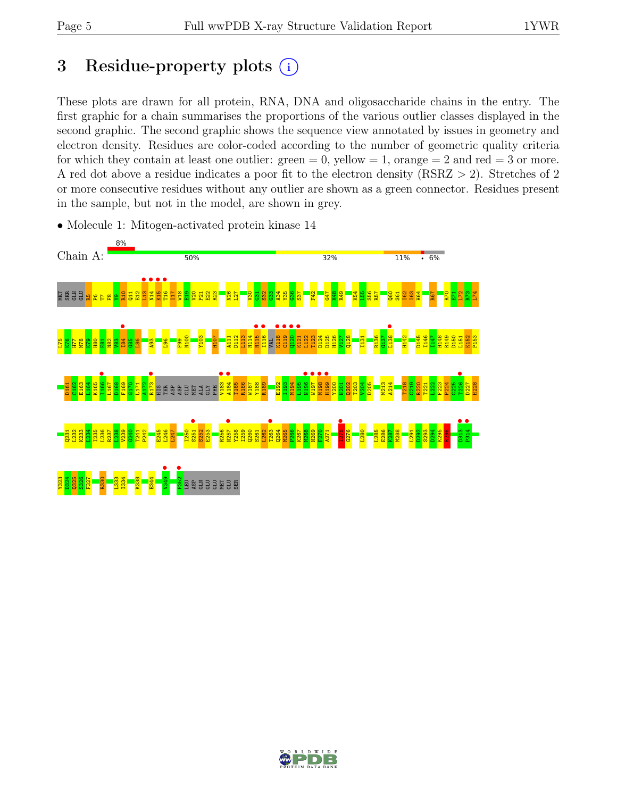# 3 Residue-property plots  $(i)$

These plots are drawn for all protein, RNA, DNA and oligosaccharide chains in the entry. The first graphic for a chain summarises the proportions of the various outlier classes displayed in the second graphic. The second graphic shows the sequence view annotated by issues in geometry and electron density. Residues are color-coded according to the number of geometric quality criteria for which they contain at least one outlier:  $green = 0$ , yellow  $= 1$ , orange  $= 2$  and red  $= 3$  or more. A red dot above a residue indicates a poor fit to the electron density (RSRZ > 2). Stretches of 2 or more consecutive residues without any outlier are shown as a green connector. Residues present in the sample, but not in the model, are shown in grey.



• Molecule 1: Mitogen-activated protein kinase 14

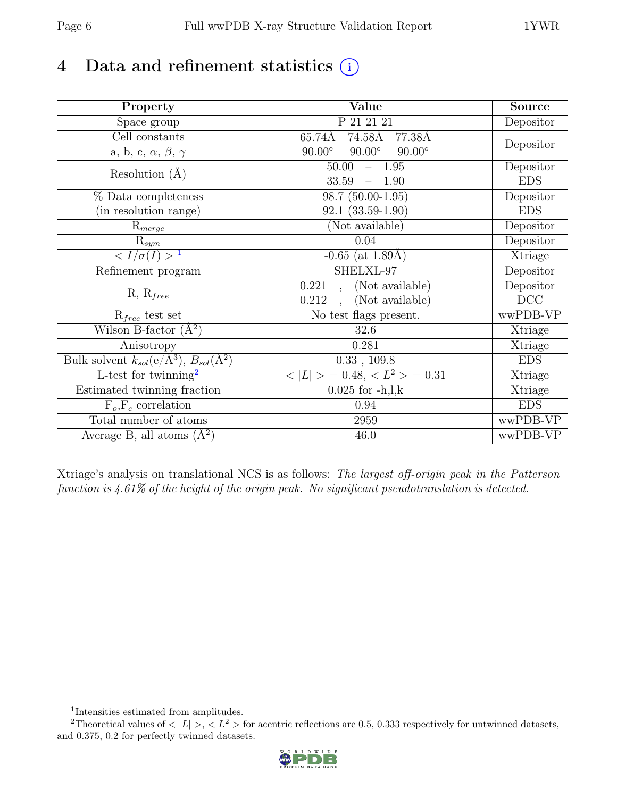# 4 Data and refinement statistics  $(i)$

| Property                                                             | Value                                            | <b>Source</b> |
|----------------------------------------------------------------------|--------------------------------------------------|---------------|
| $\overline{\text{Space}}$ group                                      | P 21 21 21                                       | Depositor     |
| Cell constants                                                       | 74.58Å<br>65.74Å<br>77.38Å                       |               |
| a, b, c, $\alpha$ , $\beta$ , $\gamma$                               | $90.00^\circ$<br>$90.00^\circ$<br>$90.00^\circ$  | Depositor     |
| Resolution $(A)$                                                     | $-1.95$<br>50.00                                 | Depositor     |
|                                                                      | 33.59<br>1.90                                    | <b>EDS</b>    |
| % Data completeness                                                  | 98.7 (50.00-1.95)                                | Depositor     |
| (in resolution range)                                                | $92.1(33.59-1.90)$                               | <b>EDS</b>    |
| $\mathrm{R}_{merge}$                                                 | (Not available)                                  | Depositor     |
| $\mathrm{R}_{sym}$                                                   | 0.04                                             | Depositor     |
| $\langle I/\sigma(I) \rangle$ <sup>1</sup>                           | $-0.65$ (at 1.89Å)                               | Xtriage       |
| Refinement program                                                   | SHELXL-97                                        | Depositor     |
|                                                                      | (Not available)<br>0.221<br>$\ddot{\phantom{a}}$ | Depositor     |
| $R, R_{free}$                                                        | (Not available)<br>0.212<br>$\ddot{\phantom{a}}$ | DCC           |
| $R_{free}$ test set                                                  | No test flags present.                           | wwPDB-VP      |
| Wilson B-factor $(A^2)$                                              | 32.6                                             | Xtriage       |
| Anisotropy                                                           | 0.281                                            | Xtriage       |
| Bulk solvent $k_{sol}(e/\mathring{A}^3)$ , $B_{sol}(\mathring{A}^2)$ | $0.33$ , $109.8$                                 | <b>EDS</b>    |
| L-test for twinning <sup>2</sup>                                     | $< L >$ = 0.48, $< L2$ > = 0.31                  | Xtriage       |
| Estimated twinning fraction                                          | $0.025$ for $-h, l, k$                           | Xtriage       |
| $F_o, F_c$ correlation                                               | 0.94                                             | <b>EDS</b>    |
| Total number of atoms                                                | 2959                                             | wwPDB-VP      |
| Average B, all atoms $(A^2)$                                         | 46.0                                             | wwPDB-VP      |

Xtriage's analysis on translational NCS is as follows: The largest off-origin peak in the Patterson function is 4.61% of the height of the origin peak. No significant pseudotranslation is detected.

<sup>&</sup>lt;sup>2</sup>Theoretical values of  $\langle |L| \rangle$ ,  $\langle L^2 \rangle$  for acentric reflections are 0.5, 0.333 respectively for untwinned datasets, and 0.375, 0.2 for perfectly twinned datasets.



<span id="page-5-1"></span><span id="page-5-0"></span><sup>1</sup> Intensities estimated from amplitudes.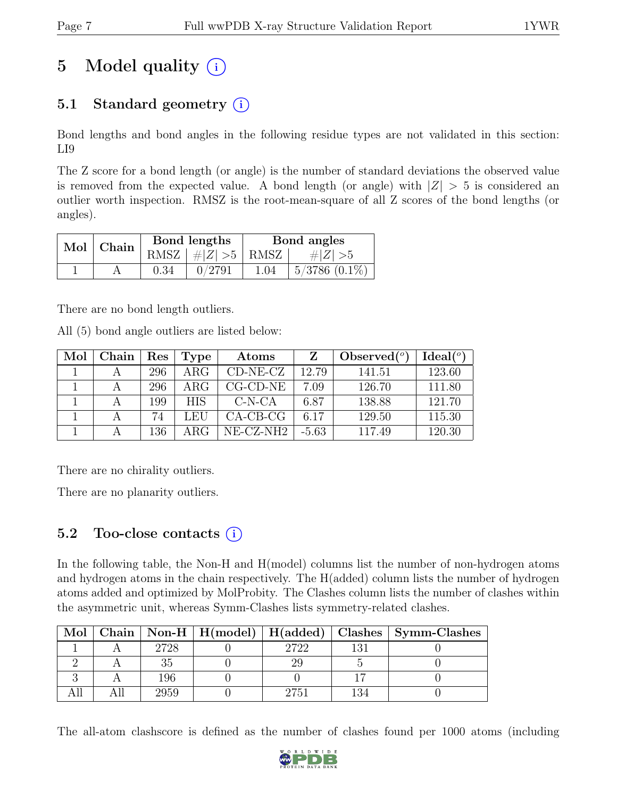# 5 Model quality  $(i)$

## 5.1 Standard geometry  $(i)$

Bond lengths and bond angles in the following residue types are not validated in this section: LI9

The Z score for a bond length (or angle) is the number of standard deviations the observed value is removed from the expected value. A bond length (or angle) with  $|Z| > 5$  is considered an outlier worth inspection. RMSZ is the root-mean-square of all Z scores of the bond lengths (or angles).

| $Mol$   Chain |      | Bond lengths                 | Bond angles |                    |  |
|---------------|------|------------------------------|-------------|--------------------|--|
|               |      | RMSZ $\mid \#Z \mid >5$ RMSZ |             | $\# Z  > 5$        |  |
|               | 0.34 | 0/2791                       | 1.04        | $5/3786$ $(0.1\%)$ |  |

There are no bond length outliers.

All (5) bond angle outliers are listed below:

| Mol | Chain | Res | Type       | Atoms              |         | Observed $(°)$ | Ideal $(°)$ |
|-----|-------|-----|------------|--------------------|---------|----------------|-------------|
|     |       | 296 | $\rm{ARG}$ | $CD-NE- CZ$        | 12.79   | 141.51         | 123.60      |
|     |       | 296 | ARG        | $CG$ - $CD$ - $NE$ | 7.09    | 126.70         | 111.80      |
|     |       | 199 | <b>HIS</b> | $C-N-CA$           | 6.87    | 138.88         | 121.70      |
|     |       | 74  | LEU        | $CA-CB-CG$         | 6.17    | 129.50         | 115.30      |
|     |       | 136 | ARG.       | NE-CZ-NH2          | $-5.63$ | 117.49         | 120.30      |

There are no chirality outliers.

There are no planarity outliers.

### 5.2 Too-close contacts  $(i)$

In the following table, the Non-H and H(model) columns list the number of non-hydrogen atoms and hydrogen atoms in the chain respectively. The H(added) column lists the number of hydrogen atoms added and optimized by MolProbity. The Clashes column lists the number of clashes within the asymmetric unit, whereas Symm-Clashes lists symmetry-related clashes.

| Mol |      |      |     | Chain   Non-H   $H(model)$   $H(added)$   Clashes   Symm-Clashes |
|-----|------|------|-----|------------------------------------------------------------------|
|     | 2728 | 9799 |     |                                                                  |
|     |      |      |     |                                                                  |
|     | 196  |      |     |                                                                  |
|     | 2959 | 2751 | 134 |                                                                  |

The all-atom clashscore is defined as the number of clashes found per 1000 atoms (including

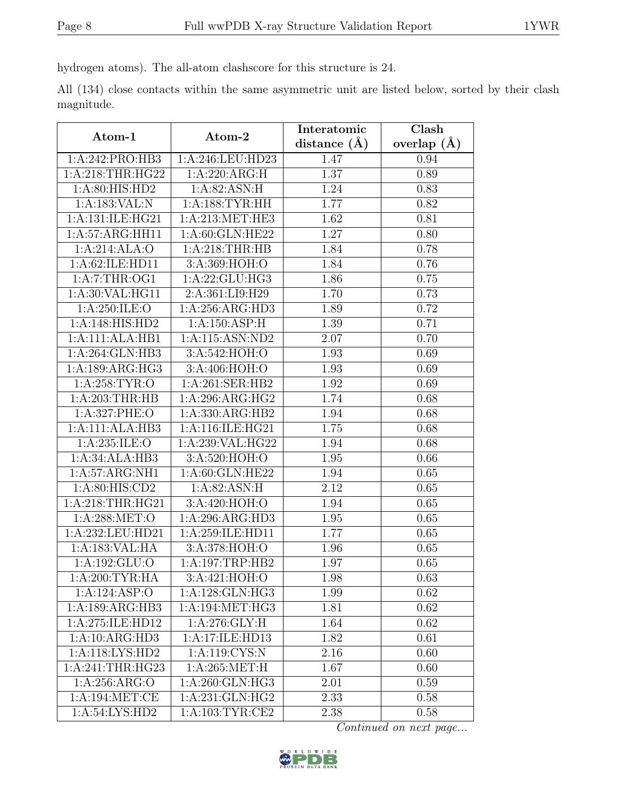hydrogen atoms). The all-atom clashscore for this structure is 24.

All (134) close contacts within the same asymmetric unit are listed below, sorted by their clash magnitude.

| Atom-1               | Atom-2              | Interatomic       | Clash         |  |
|----------------------|---------------------|-------------------|---------------|--|
|                      |                     | distance $(\AA)$  | overlap $(A)$ |  |
| 1:A:242:PRO:HB3      | 1:A:246:LEU:HD23    | 1.47              | 0.94          |  |
| 1: A:218:THR:HG22    | 1:A:220:ARG:H       | 1.37              | 0.89          |  |
| 1: A:80: HIS: HD2    | 1:A:82:ASN:H        | 1.24              | 0.83          |  |
| 1: A: 183: VAL: N    | 1: A: 188: TYR: HH  | 1.77              | 0.82          |  |
| 1: A: 131: ILE: HG21 | 1: A:213: MET:HE3   | 1.62              | 0.81          |  |
| 1:A:57:ARG:HH11      | 1:A:60:GLN:HE22     | 1.27              | 0.80          |  |
| 1:A:214:ALA:O        | 1: A:218:THR:HB     | 1.84              | 0.78          |  |
| 1:A:62:ILE:HD11      | 3:A:369:HOH:O       | 1.84              | 0.76          |  |
| 1: A: 7: THR: OG1    | 1:A:22:GLU:HG3      | 1.86              | 0.75          |  |
| 1: A:30: VAL: HG11   | 2:A:361:LI9:H29     | 1.70              | 0.73          |  |
| 1: A:250: ILE: O     | 1:A:256:ARG:HD3     | 1.89              | 0.72          |  |
| 1:A:148:HIS:HD2      | 1:A:150:ASP:H       | 1.39              | 0.71          |  |
| 1:A:111:ALA:HB1      | 1:A:115:ASN:ND2     | 2.07              | 0.70          |  |
| 1:A:264:GLN:HB3      | 3:A:542:HOH:O       | 1.93              | 0.69          |  |
| 1:A:189:ARG:HG3      | 3:A:406:HOH:O       | 1.93              | 0.69          |  |
| 1: A:258: TYR:O      | 1:A:261:SER:HB2     | 1.92              | 0.69          |  |
| 1:A:203:THR:HB       | 1:A:296:ARG:HG2     | 1.74              | 0.68          |  |
| 1:A:327:PHE:O        | 1: A: 330: ARG: HB2 | 1.94              | 0.68          |  |
| 1:A:111:ALA:HB3      | 1:A:116:ILE:HG21    | 1.75              | 0.68          |  |
| 1:A:235:ILE:O        | 1:A:239:VAL:HG22    | 1.94              | 0.68          |  |
| 1:A:34:ALA:HB3       | 3:A:520:HOH:O       | 1.95              | 0.66          |  |
| 1:A:57:ARG:NH1       | 1:A:60:GLN:HE22     | 1.94              | 0.65          |  |
| 1:A:80:HIS:CD2       | 1:A:82:ASN:H        | 2.12              | 0.65          |  |
| 1: A:218:THR:HG21    | 3:A:420:HOH:O       | 1.94              | 0.65          |  |
| 1:A:288:MET:O        | 1:A:296:ARG:HD3     | 1.95              | 0.65          |  |
| 1:A:232:LEU:HD21     | 1:A:259:ILE:HD11    | $\overline{1.77}$ | 0.65          |  |
| 1:A:183:VAL:HA       | 3:A:378:HOH:O       | 1.96              | 0.65          |  |
| 1:A:192:GLU:O        | 1:A:197:TRP:HB2     | 1.97              | 0.65          |  |
| 1: A:200:TYR:HA      | 3:A:421:HOH:O       | 1.98              | 0.63          |  |
| 1:A:124:ASP:O        | 1:A:128:GLN:HG3     | 1.99              | 0.62          |  |
| 1:A:189:ARG:HB3      | 1: A:194: MET: HG3  | 1.81              | 0.62          |  |
| 1:A:275:ILE:HD12     | 1: A:276: GLY: H    | 1.64              | 0.62          |  |
| 1:A:10:ARG:HD3       | 1:A:17:ILE:HD13     | 1.82              | 0.61          |  |
| 1:A:118:LYS:HD2      | 1:A:119:CYS:N       | 2.16              | 0.60          |  |
| 1:A:241:THR:HG23     | 1: A:265: MET:H     | 1.67              | 0.60          |  |
| 1:A:256:ARG:O        | 1:A:260:GLN:HG3     | 2.01              | 0.59          |  |
| 1: A:194: MET:CE     | 1: A:231: GLN: HG2  | 2.33              | 0.58          |  |
| 1:A:54:LYS:HD2       | 1:A:103:TYR:CE2     | 2.38              | 0.58          |  |

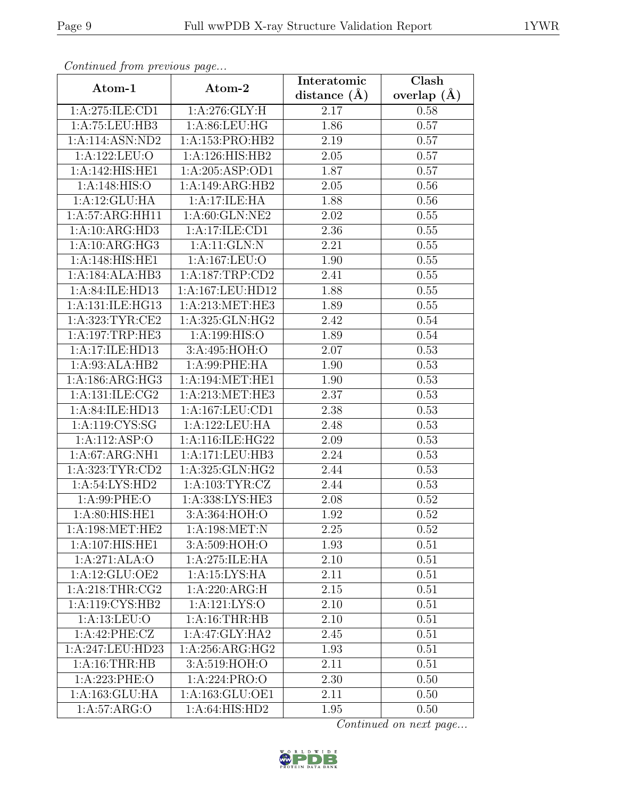| Continued from previous page         |                              | Interatomic      | Clash         |
|--------------------------------------|------------------------------|------------------|---------------|
| Atom-1                               | Atom-2                       | distance $(\AA)$ | overlap $(A)$ |
| 1:A:275:ILE:CD1                      | 1: A:276: GLY: H             | 2.17             | 0.58          |
| 1:A:75:LEU:HB3                       | 1: A:86: LEU: HG             | 1.86             | 0.57          |
| 1:A:114:ASN:ND2                      | 1:A:153:PRO:HB2              | 2.19             | 0.57          |
| 1:A:122:LEU:O                        | 1:A:126:HIS:HB2              | 2.05             | 0.57          |
| 1:A:142:HIS:HE1                      | 1:A:205:ASP:OD1              | 1.87             | 0.57          |
| 1: A:148: HIS:O                      | $1:A:149:ARG:H\overline{B2}$ | 2.05             | 0.56          |
| 1:A:12:GLU:HA                        | 1:A:17:ILE:HA                | 1.88             | 0.56          |
| 1:A:57:ARG:HH11                      | 1:A:60:GLN:NE2               | 2.02             | 0.55          |
| 1:A:10:ARG:HD3                       | 1:A:17:ILE:CD1               | 2.36             | 0.55          |
| $1:A:10:A\overline{\mathrm{RG:HG3}}$ | 1:A:11:GLN:N                 | 2.21             | 0.55          |
| 1:A:148:HIS:HE1                      | 1:A:167:LEU:O                | 1.90             | 0.55          |
| 1:A:184:ALA:HB3                      | 1:A:187:TRP:CD2              | 2.41             | 0.55          |
| 1:A:84:ILE:HD13                      | 1:A:167:LEU:HD12             | 1.88             | 0.55          |
| 1:A:131:ILE:HG13                     | 1:A:213:MET:HE3              | 1.89             | 0.55          |
| 1:A:323:TYR:CE2                      | 1:A:325:GLN:HG2              | 2.42             | 0.54          |
| 1:A:197:TRP:HE3                      | 1: A:199:HIS:O               | 1.89             | 0.54          |
| 1:A:17:ILE:HD13                      | 3:A:495:HOH:O                | 2.07             | 0.53          |
| 1:A:93:ALA:HB2                       | 1:A:99:PHE:HA                | 1.90             | 0.53          |
| 1: A: 186: ARG: HG3                  | 1:A:194:MET:HE1              | 1.90             | 0.53          |
| 1:A:131:ILE:CG2                      | 1:A:213:MET:HE3              | 2.37             | 0.53          |
| 1:A:84:ILE:HD13                      | 1:A:167:LEU:CD1              | 2.38             | 0.53          |
| 1:A:119:CYS:SG                       | 1:A:122:LEU:HA               | 2.48             | 0.53          |
| 1:A:112:ASP:O                        | 1:A:116:ILE:HG22             | 2.09             | 0.53          |
| 1:A:67:ARG:NH1                       | 1:A:171:LEU:HB3              | 2.24             | 0.53          |
| 1:A:323:TYR:CD2                      | 1:A:325:GLN:HG2              | 2.44             | 0.53          |
| 1:A:54:LYS:HD2                       | 1: A: 103: TYR: CZ           | 2.44             | 0.53          |
| 1: A:99: PHE:O                       | 1:A:338:LYS:HE3              | 2.08             | 0.52          |
| 1: A:80: HIS: HE1                    | 3:A:364:HOH:O                | 1.92             | 0.52          |
| 1: A:198: MET:HE2                    | 1:A:198:MET:N                | 2.25             | 0.52          |
| 1:A:107:HIS:HE1                      | 3: A:509: HOH:O              | 1.93             | 0.51          |
| 1:A:271:ALA:O                        | 1:A:275:ILE:HA               | 2.10             | 0.51          |
| 1:A:12:GLU:OE2                       | 1:A:15:LYS:HA                | 2.11             | 0.51          |
| 1: A:218:THR:CG2                     | 1:A:220:ARG:H                | 2.15             | 0.51          |
| 1:A:119:CYS:HB2                      | 1: A: 121: LYS: O            | $2.10\,$         | 0.51          |
| 1: A:13: LEU:O                       | 1:A:16:THR:HB                | 2.10             | 0.51          |
| 1:A:42:PHE:CZ                        | 1:A:47:GLY:HA2               | 2.45             | 0.51          |
| 1:A:247:LEU:HD23                     | 1:A:256:ARG:HG2              | 1.93             | 0.51          |
| 1: A:16:THR:HB                       | 3:A:519:HOH:O                | 2.11             | 0.51          |
| 1:A:223:PHE:O                        | 1:A:224:PRO:O                | 2.30             | 0.50          |
| 1:A:163:GLU:HA                       | 1:A:163:GLU:OE1              | 2.11             | 0.50          |
| 1: A:57: ARG:O                       | 1:A:64:HIS:HD2               | 1.95             | 0.50          |

Continued from previous page.

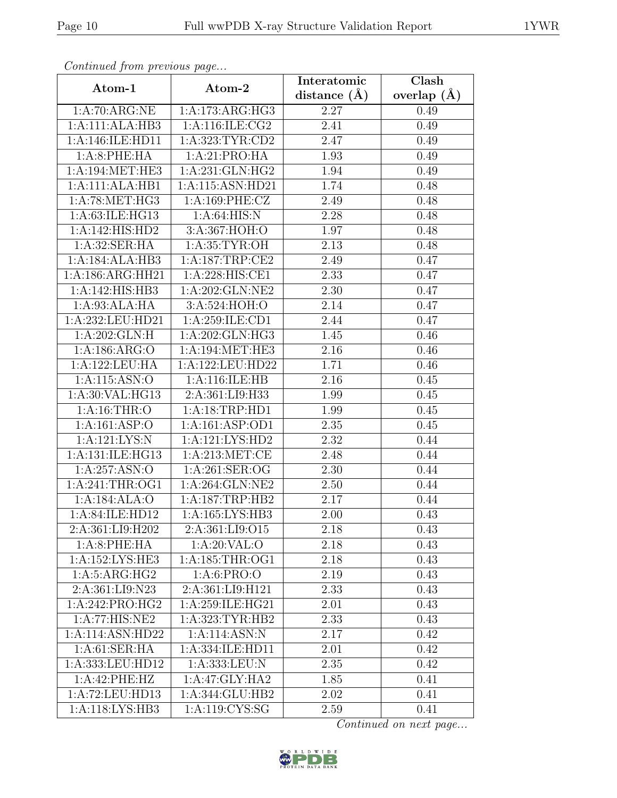| Continued from previous page |                     | Interatomic    | Clash         |  |
|------------------------------|---------------------|----------------|---------------|--|
| Atom-1                       | Atom-2              | distance $(A)$ | overlap $(A)$ |  |
| 1:A:70:ARG:NE                | 1:A:173:ARG:HG3     | 2.27           | 0.49          |  |
| 1:A:111:ALA:HB3              | 1:A:116:ILE:CG2     | 2.41           | 0.49          |  |
| 1:A:146:ILE:HD11             | 1: A: 323: TYR: CD2 | 2.47           | 0.49          |  |
| 1: A:8: PHE: HA              | 1:A:21:PRO:HA       | 1.93           | 0.49          |  |
| 1: A:194: MET:HE3            | 1: A:231: GLN: HG2  | 1.94           | 0.49          |  |
| 1:A:111:ALA:HB1              | 1:A:115:ASN:HD21    | 1.74           | 0.48          |  |
| 1: A:78: MET:HG3             | 1:A:169:PHE:CZ      | 2.49           | 0.48          |  |
| 1: A:63: ILE: HG13           | 1: A:64: HIS: N     | 2.28           | 0.48          |  |
| 1:A:142:HIS:HD2              | 3:A:367:HOH:O       | 1.97           | 0.48          |  |
| 1: A:32: SER: HA             | 1: A:35:TYR:OH      | 2.13           | 0.48          |  |
| 1:A:184:ALA:HB3              | 1:A:187:TRP:CE2     | 2.49           | 0.47          |  |
| 1:A:186:ARG:HH21             | 1:A:228:HIS:CE1     | 2.33           | 0.47          |  |
| 1:A:142:HIS:HB3              | 1:A:202:GLN:NE2     | 2.30           | 0.47          |  |
| 1:A:93:ALA:HA                | 3:A:524:HOH:O       | 2.14           | 0.47          |  |
| 1:A:232:LEU:HD21             | 1:A:259:ILE:CD1     | 2.44           | 0.47          |  |
| 1:A:202:GLN:H                | 1:A:202:GLN:HG3     | 1.45           | 0.46          |  |
| 1:A:186:ARG:O                | 1:A:194:MET:HE3     | 2.16           | 0.46          |  |
| 1:A:122:LEU:HA               | 1:A:122:LEU:HD22    | 1.71           | 0.46          |  |
| 1:A:115:ASN:O                | 1:A:116:ILE:HB      | 2.16           | 0.45          |  |
| 1: A:30: VAL: HG13           | 2:A:361:LI9:H33     | 1.99           | 0.45          |  |
| 1: A:16:THR:O                | 1:A:18:TRP:HD1      | 1.99           | 0.45          |  |
| 1:A:161:ASP:O                | 1:A:161:ASP:OD1     | 2.35           | 0.45          |  |
| 1:A:121:LYS:N                | 1:A:121:LYS:HD2     | 2.32           | 0.44          |  |
| 1:A:131:ILE:HG13             | 1: A:213:MET:CE     | 2.48           | 0.44          |  |
| 1:A:257:ASN:O                | 1: A:261: SER:OG    | 2.30           | 0.44          |  |
| 1:A:241:THR:OG1              | 1:A:264:GLN:NE2     | 2.50           | 0.44          |  |
| 1:A:184:ALA:O                | 1:A:187:TRP:HB2     | 2.17           | 0.44          |  |
| 1:A:84:ILE:HD12              | 1: A: 165: LYS: HB3 | 2.00           | 0.43          |  |
| 2:A:361:LI9:H202             | 2:A:361:LI9:O15     | 2.18           | 0.43          |  |
| 1:A:8:PHE:HA                 | 1:A:20:VAL:O        | 2.18           | 0.43          |  |
| 1:A:152:LYS:HE3              | 1: A: 185: THR: OG1 | 2.18           | 0.43          |  |
| 1: A:5: ARG:HG2              | 1: A:6: PRO:O       | 2.19           | 0.43          |  |
| 2:A:361:LI9:N23              | 2:A:361:LI9:H121    | 2.33           | 0.43          |  |
| 1:A:242:PRO:HG2              | 1:A:259:ILE:HG21    | 2.01           | 0.43          |  |
| 1:A:77:HIS:NE2               | 1:A:323:TYR:HB2     | 2.33           | 0.43          |  |
| 1:A:114:ASN:HD22             | 1:A:114:ASN:N       | 2.17           | 0.42          |  |
| 1: A:61:SER:HA               | 1:A:334:ILE:HD11    | 2.01           | 0.42          |  |
| 1:A:333:LEU:HD12             | 1:A:333:LEU:N       | $2.35\,$       | 0.42          |  |
| 1:A:42:PHE:HZ                | 1:A:47:GLY:HA2      | 1.85           | 0.41          |  |
| 1:A:72:LEU:HD13              | 1:A:344:GLU:HB2     | 2.02           | 0.41          |  |
| 1:A:118:LYS:HB3              | 1:A:119:CYS:SG      | 2.59           | 0.41          |  |

Continued from previous page.

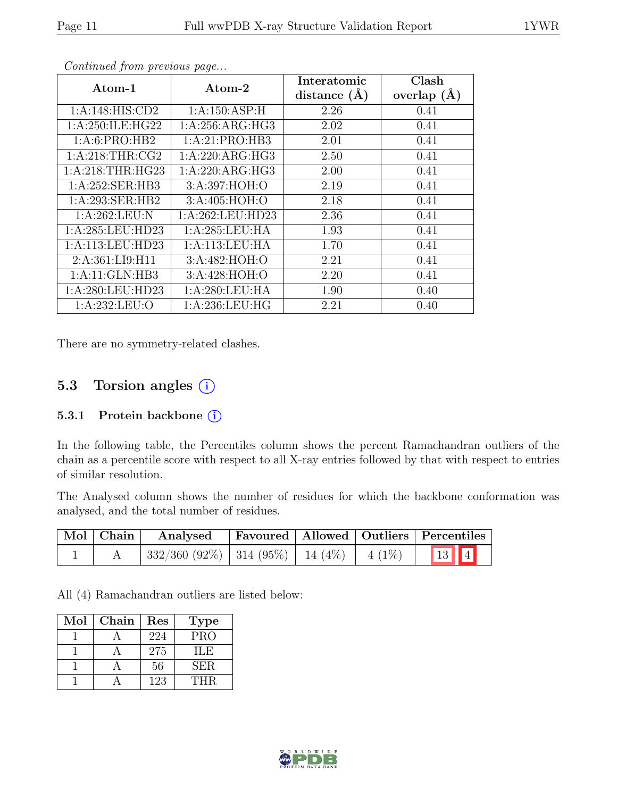| Atom-1              | Atom-2             | Interatomic      | Clash           |
|---------------------|--------------------|------------------|-----------------|
|                     |                    | distance $(\AA)$ | overlap $(\AA)$ |
| 1:A:148:HIS:CD2     | 1: A:150: ASP:H    | 2.26             | 0.41            |
| 1: A:250: ILE: HG22 | 1: A:256: ARG: HG3 | 2.02             | 0.41            |
| 1:A:6:PRO:HB2       | 1:A:21:PRO:HB3     | 2.01             | 0.41            |
| 1: A:218:THR:CG2    | 1:A:220:ARG:HG3    | 2.50             | 0.41            |
| 1: A:218:THR:HG23   | 1:A:220:ARG:HG3    | 2.00             | 0.41            |
| 1:A:252:SER:HB3     | 3:A:397:HOH:O      | 2.19             | 0.41            |
| 1:A:293:SER:HB2     | 3:A:405:HOH:O      | 2.18             | 0.41            |
| 1:A:262:LEU:N       | 1:A:262:LEU:HD23   | 2.36             | 0.41            |
| 1:A:285:LEU:HD23    | 1:A:285:LEU:HA     | 1.93             | 0.41            |
| 1:A:113:LEU:HD23    | 1:A:113:LEU:HA     | 1.70             | 0.41            |
| 2:A:361:LI9:H11     | 3:A:482:HOH:O      | 2.21             | 0.41            |
| 1:A:11:GLN:HB3      | 3:A:428:HOH:O      | 2.20             | 0.41            |
| 1:A:280:LEU:HD23    | 1: A:280:LEU:HA    | 1.90             | 0.40            |
| 1: A:232:LEU:O      | 1: A:236:LEU:HG    | 2.21             | 0.40            |

Continued from previous page...

There are no symmetry-related clashes.

### 5.3 Torsion angles (i)

#### 5.3.1 Protein backbone  $(i)$

In the following table, the Percentiles column shows the percent Ramachandran outliers of the chain as a percentile score with respect to all X-ray entries followed by that with respect to entries of similar resolution.

The Analysed column shows the number of residues for which the backbone conformation was analysed, and the total number of residues.

| Mol   Chain | Analysed Favoured   Allowed   Outliers   Percentiles |  |        |
|-------------|------------------------------------------------------|--|--------|
|             | $332/360 (92\%)$   314 (95%)   14 (4%)   4 (1%)      |  | 13   4 |

All (4) Ramachandran outliers are listed below:

| Mol | Chain | Res | <b>Type</b> |
|-----|-------|-----|-------------|
|     |       | 224 | <b>PRO</b>  |
|     |       | 275 | IL E        |
|     |       | 56  | SER.        |
|     |       | 123 | <b>THR</b>  |

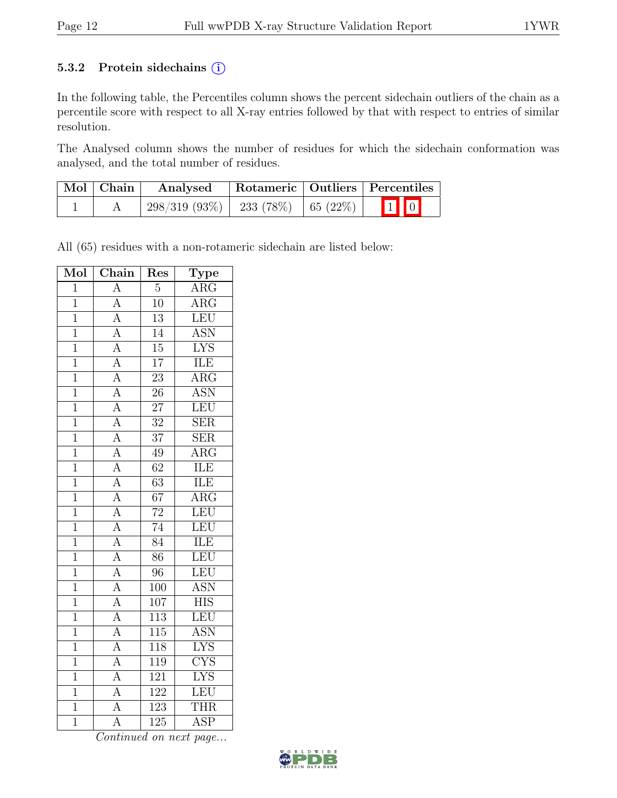#### 5.3.2 Protein sidechains  $(i)$

In the following table, the Percentiles column shows the percent sidechain outliers of the chain as a percentile score with respect to all X-ray entries followed by that with respect to entries of similar resolution.

The Analysed column shows the number of residues for which the sidechain conformation was analysed, and the total number of residues.

| $\mid$ Mol $\mid$ Chain $\mid$ | Rotameric   Outliers   Percentiles<br>Analysed |  |  |                         |  |
|--------------------------------|------------------------------------------------|--|--|-------------------------|--|
|                                | $298/319$ (93\%)   233 (78\%)   65 (22\%)      |  |  | $\boxed{1}$ $\boxed{0}$ |  |

All (65) residues with a non-rotameric sidechain are listed below:

| Mol            | Chain                               | Res              | $\overline{\mathrm{T}}$ ype |
|----------------|-------------------------------------|------------------|-----------------------------|
| $\overline{1}$ | $\overline{\rm A}$                  | $\overline{5}$   | $\overline{\text{ARG}}$     |
| $\overline{1}$ | $\overline{A}$                      | $\overline{10}$  | $\overline{\rm{ARG}}$       |
| $\overline{1}$ | $\overline{A}$                      | $\overline{13}$  | LEU                         |
| $\overline{1}$ | $\overline{A}$                      | 14               | $A\overline{SN}$            |
| $\overline{1}$ | $\overline{A}$                      | $\overline{15}$  | $\overline{\text{LYS}}$     |
| $\overline{1}$ |                                     | $\overline{17}$  | ILE                         |
| $\overline{1}$ | $\frac{\overline{A}}{\overline{A}}$ | $\overline{23}$  | $\overline{\rm{ARG}}$       |
| $\overline{1}$ |                                     | $\overline{26}$  | <b>ASN</b>                  |
| $\mathbf{1}$   | $\overline{A}$                      | $\overline{27}$  | $\overline{\text{LEU}}$     |
| $\overline{1}$ | $\overline{A}$                      | $\overline{32}$  | $\overline{\text{SER}}$     |
| $\mathbf{1}$   | $\frac{\overline{A}}{\overline{A}}$ | $\overline{37}$  | $\overline{\text{SER}}$     |
| $\overline{1}$ |                                     | $\overline{49}$  | $\overline{\rm{ARG}}$       |
| $\mathbf 1$    |                                     | $\overline{62}$  | ILE                         |
| $\mathbf{1}$   | $\overline{A}$                      | $\overline{63}$  | <b>ILE</b>                  |
| $\overline{1}$ | $\overline{A}$                      | $\overline{67}$  | $\overline{\text{ARG}}$     |
| $\overline{1}$ | $\frac{\overline{A}}{\overline{A}}$ | $\overline{72}$  | LEU                         |
| $\overline{1}$ |                                     | 74               | LEU                         |
| $\overline{1}$ | $\overline{A}$                      | $\overline{84}$  | ILE                         |
| $\overline{1}$ | $\overline{A}$                      | $\overline{86}$  | LEU                         |
| $\overline{1}$ | $\overline{A}$                      | 96               | LEU                         |
| $\overline{1}$ | $\frac{A}{A}$                       | $\overline{100}$ | <b>ASN</b>                  |
| $\overline{1}$ |                                     | 107              | <b>HIS</b>                  |
| $\overline{1}$ | $\overline{A}$                      | 113              | LEU                         |
| $\mathbf{1}$   | $\overline{A}$                      | $\overline{115}$ | <b>ASN</b>                  |
| $\overline{1}$ | $\overline{A}$                      | 118              | <b>LYS</b>                  |
| $\mathbf 1$    | $\overline{A}$                      | 119              | $\overline{\text{CYS}}$     |
| $\overline{1}$ | $\overline{A}$                      | $\overline{121}$ | <b>LYS</b>                  |
| $\overline{1}$ | $\overline{A}$                      | 122              | $\overline{\text{LEU}}$     |
| $\overline{1}$ | $\overline{A}$                      | 123              | <b>THR</b>                  |
| $\overline{1}$ | Ā                                   | $\overline{125}$ | <b>ASP</b>                  |

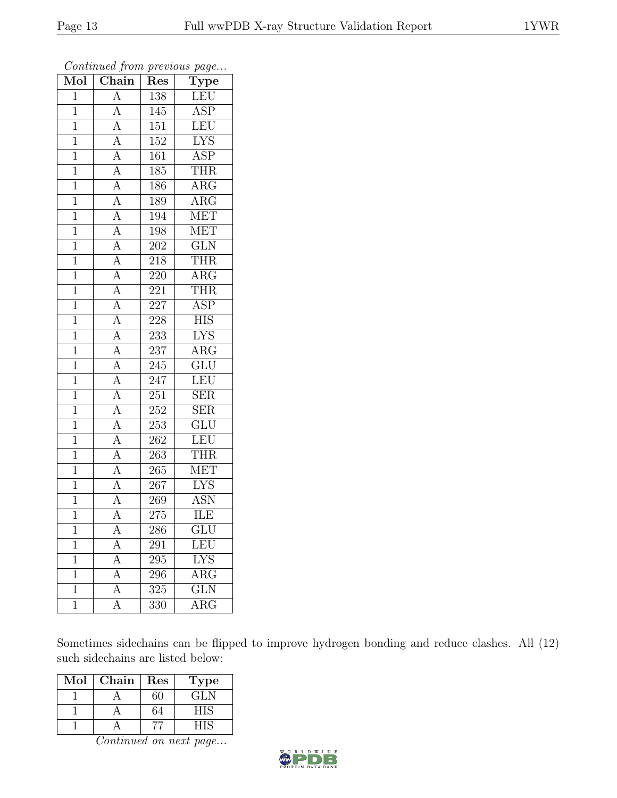| Moi            | $\overline{\text{Chain}}$           | Res              | ${\rm Type}$            |
|----------------|-------------------------------------|------------------|-------------------------|
| $\overline{1}$ | $\overline{A}$                      | 138              | LEU                     |
| $\mathbf 1$    | $\overline{A}$                      | 145              | <b>ASP</b>              |
| $\overline{1}$ | $\overline{A}$                      | 151              | LEU                     |
| $\mathbf{1}$   | $\overline{A}$                      | 152              | ${\rm LYS}$             |
| $\mathbf{1}$   | $\frac{\overline{A}}{\overline{A}}$ | 161              | <b>ASP</b>              |
| $\mathbf 1$    |                                     | 185              | <b>THR</b>              |
| $\overline{1}$ | $\overline{A}$                      | 186              | $\overline{\rm{ARG}}$   |
| $\mathbf{1}$   | $\overline{A}$                      | 189              | $\overline{\text{ARG}}$ |
| $\mathbf{1}$   | $\frac{\overline{A}}{\overline{A}}$ | 194              | <b>MET</b>              |
| $\overline{1}$ |                                     | 198              | <b>MET</b>              |
| $\mathbf 1$    |                                     | 202              | GLN                     |
| $\overline{1}$ | $\overline{A}$                      | 218              | <b>THR</b>              |
| $\overline{1}$ | $\overline{A}$                      | 220              | $\overline{\text{ARG}}$ |
| $\mathbf{1}$   | $\overline{A}$                      | 221              | THR                     |
| $\overline{1}$ | $\overline{A}$                      | 227              | $\overline{\text{ASP}}$ |
| $\mathbf{1}$   | $\overline{A}$                      | 228              | <b>HIS</b>              |
| $\overline{1}$ | $\overline{A}$                      | $233\,$          | $\overline{\text{LYS}}$ |
| $\mathbf{1}$   | $\frac{\overline{A}}{\overline{A}}$ | 237              | $\rm{ARG}$              |
| $\mathbf{1}$   |                                     | 245              | $\overline{\text{GLU}}$ |
| $\overline{1}$ | $\frac{A}{A}$                       | 247              | <b>LEU</b>              |
| $\mathbf{1}$   |                                     | 251              | <b>SER</b>              |
| $\overline{1}$ | $\frac{\overline{A}}{\overline{A}}$ | $\overline{252}$ | $\overline{\text{SER}}$ |
| $\mathbf{1}$   |                                     | 253              | GLU                     |
| $\mathbf{1}$   | $\overline{A}$                      | <b>262</b>       | LEU                     |
| $\mathbf{1}$   | $\overline{A}$                      | 263              | <b>THR</b>              |
| $\mathbf{1}$   | $\overline{A}$                      | 265              | <b>MET</b>              |
| $\mathbf{1}$   | $\frac{\overline{A}}{\overline{A}}$ | 267              | $\overline{\text{LYS}}$ |
| $\mathbf{1}$   |                                     | 269              | ASN                     |
| $\mathbf{1}$   | $\overline{\rm A}$                  | 275              | ILE                     |
| 1              | А                                   | 286              | GLU                     |
| 1              | $\overline{A}$                      | 291              | LEU                     |
| 1              | A                                   | 295              | <b>LYS</b>              |
| $\mathbf{1}$   | $\overline{\rm A}$                  | 296              | $\rm{ARG}$              |
| $\mathbf{1}$   | А                                   | $\overline{325}$ | $\overline{\text{GLN}}$ |
| $\mathbf{1}$   | А                                   | 330              | $\rm{ARG}$              |

Continued from previous page...

Sometimes sidechains can be flipped to improve hydrogen bonding and reduce clashes. All (12) such sidechains are listed below:

| Mol | Chain | Res | Type |
|-----|-------|-----|------|
|     |       | 60  | GLN  |
|     |       | 64  | HIS  |
|     |       |     |      |

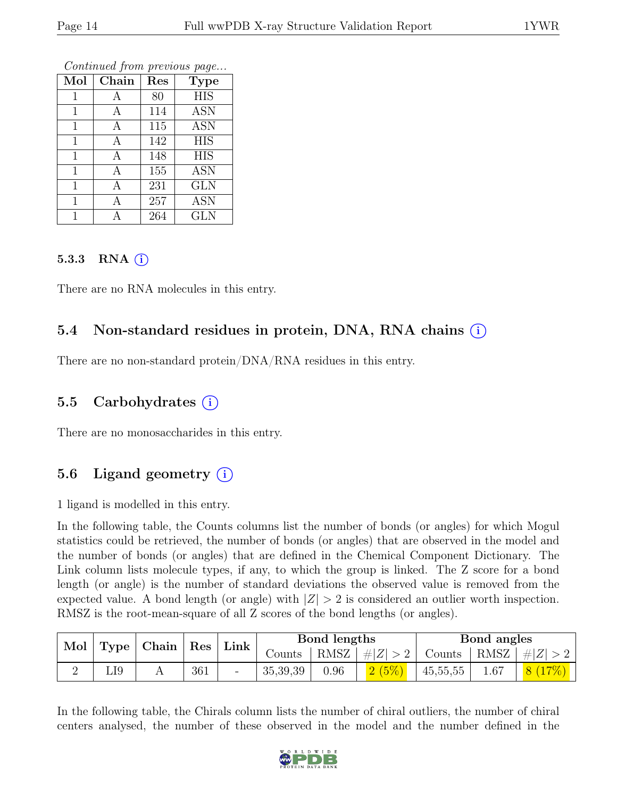| Mol          | Chain | Res | <b>Type</b> |
|--------------|-------|-----|-------------|
| $\mathbf{1}$ | Α     | 80  | <b>HIS</b>  |
| 1            | А     | 114 | <b>ASN</b>  |
| $\mathbf{1}$ | А     | 115 | <b>ASN</b>  |
| $\mathbf{1}$ | Α     | 142 | <b>HIS</b>  |
| 1            | А     | 148 | <b>HIS</b>  |
| $\mathbf{1}$ | А     | 155 | <b>ASN</b>  |
| 1            | А     | 231 | <b>GLN</b>  |
|              | А     | 257 | <b>ASN</b>  |
|              | А     | 264 | <b>GLN</b>  |

Continued from previous page...

#### 5.3.3 RNA  $(i)$

There are no RNA molecules in this entry.

#### 5.4 Non-standard residues in protein, DNA, RNA chains (i)

There are no non-standard protein/DNA/RNA residues in this entry.

#### 5.5 Carbohydrates  $(i)$

There are no monosaccharides in this entry.

### 5.6 Ligand geometry  $(i)$

1 ligand is modelled in this entry.

In the following table, the Counts columns list the number of bonds (or angles) for which Mogul statistics could be retrieved, the number of bonds (or angles) that are observed in the model and the number of bonds (or angles) that are defined in the Chemical Component Dictionary. The Link column lists molecule types, if any, to which the group is linked. The Z score for a bond length (or angle) is the number of standard deviations the observed value is removed from the expected value. A bond length (or angle) with  $|Z| > 2$  is considered an outlier worth inspection. RMSZ is the root-mean-square of all Z scores of the bond lengths (or angles).

| Mol<br>$\mid$ Chain $\mid$<br>$\operatorname{Res}$<br>Type |     |  |        | Link                     |                    | Bond lengths |      |            | Bond angles |   |
|------------------------------------------------------------|-----|--|--------|--------------------------|--------------------|--------------|------|------------|-------------|---|
|                                                            |     |  | Counts | RMSZ                     | $\vert \#  Z  > 2$ | Counts       | RMSZ | $\# Z $    |             |   |
|                                                            | LI9 |  | 361    | $\overline{\phantom{0}}$ | 35,39,39           | $0.96\,$     |      | 45, 55, 55 | 1.67        | 8 |

In the following table, the Chirals column lists the number of chiral outliers, the number of chiral centers analysed, the number of these observed in the model and the number defined in the

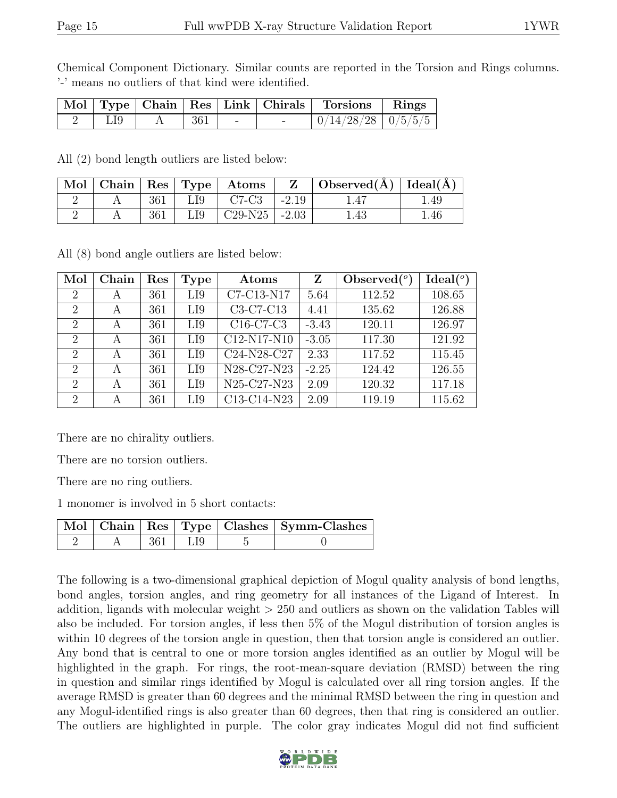Chemical Component Dictionary. Similar counts are reported in the Torsion and Rings columns. '-' means no outliers of that kind were identified.

|     |       |            | Mol   Type   Chain   Res   Link   Chirals   Torsions   Rings |  |
|-----|-------|------------|--------------------------------------------------------------|--|
| LI9 | - 361 | $\sim$ $-$ | $\mid 0/14/28/28 \mid 0/5/5/5 \mid$                          |  |

All (2) bond length outliers are listed below:

| $\mid$ Mol $\mid$ |     |     | $ $ Chain $ $ Res $ $ Type $ $ Atoms |         | Observed( $A$ )   Ideal( $A$ ) |     |
|-------------------|-----|-----|--------------------------------------|---------|--------------------------------|-----|
|                   | 361 | LI9 | $C7-C3$                              | $-2.19$ |                                | .49 |
|                   | 361 | LI9 | $C29-N25$                            | $-2.03$ | .43                            | .46 |

All (8) bond angle outliers are listed below:

| Mol                         | Chain | Res | Type | Atoms                                         | Z       | Observed $(°)$ | Ideal <sup>(o</sup> ) |
|-----------------------------|-------|-----|------|-----------------------------------------------|---------|----------------|-----------------------|
| 2                           | A     | 361 | LI9  | C7-C13-N17                                    | 5.64    | 112.52         | 108.65                |
| $\mathcal{D}_{\mathcal{L}}$ | А     | 361 | LI9  | C3-C7-C13                                     | 4.41    | 135.62         | 126.88                |
| $\mathcal{D}_{\mathcal{L}}$ | A     | 361 | LI9  | $C16-C7-C3$                                   | $-3.43$ | 120.11         | 126.97                |
| $\overline{2}$              | A     | 361 | LI9  | C12-N17-N10                                   | $-3.05$ | 117.30         | 121.92                |
| $\overline{2}$              | А     | 361 | LI9  | $\overline{\text{C}}24-\text{N}28-\text{C}27$ | 2.33    | 117.52         | 115.45                |
| $\overline{2}$              | А     | 361 | LI9  | N28-C27-N23                                   | $-2.25$ | 124.42         | 126.55                |
| $\overline{2}$              | А     | 361 | LI9  | N25-C27-N23                                   | 2.09    | 120.32         | 117.18                |
| $\overline{2}$              | А     | 361 | LI9  | C13-C14-N23                                   | 2.09    | 119.19         | 115.62                |

There are no chirality outliers.

There are no torsion outliers.

There are no ring outliers.

1 monomer is involved in 5 short contacts:

|  |           | Mol   Chain   Res   Type   Clashes   Symm-Clashes |
|--|-----------|---------------------------------------------------|
|  | 361   LI9 |                                                   |

The following is a two-dimensional graphical depiction of Mogul quality analysis of bond lengths, bond angles, torsion angles, and ring geometry for all instances of the Ligand of Interest. In addition, ligands with molecular weight  $> 250$  and outliers as shown on the validation Tables will also be included. For torsion angles, if less then 5% of the Mogul distribution of torsion angles is within 10 degrees of the torsion angle in question, then that torsion angle is considered an outlier. Any bond that is central to one or more torsion angles identified as an outlier by Mogul will be highlighted in the graph. For rings, the root-mean-square deviation (RMSD) between the ring in question and similar rings identified by Mogul is calculated over all ring torsion angles. If the average RMSD is greater than 60 degrees and the minimal RMSD between the ring in question and any Mogul-identified rings is also greater than 60 degrees, then that ring is considered an outlier. The outliers are highlighted in purple. The color gray indicates Mogul did not find sufficient

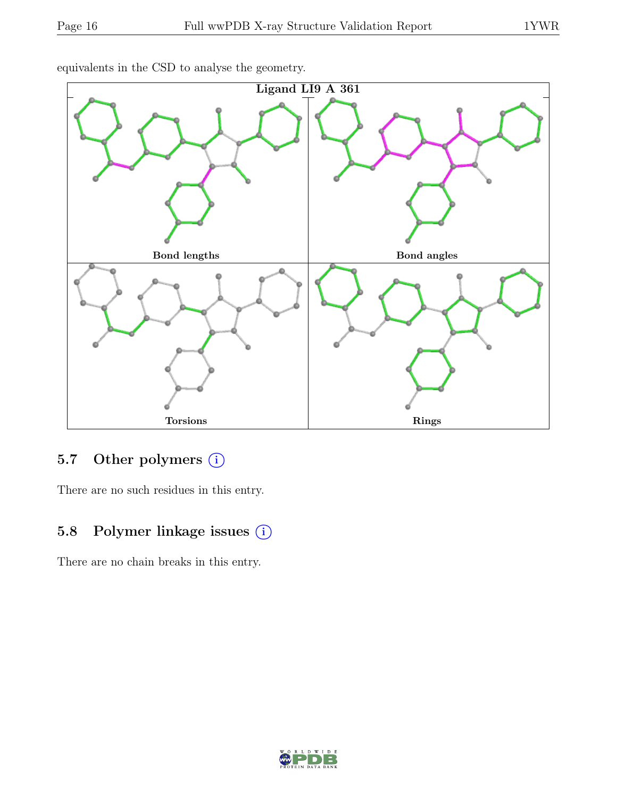

equivalents in the CSD to analyse the geometry.

### 5.7 Other polymers (i)

There are no such residues in this entry.

## 5.8 Polymer linkage issues (i)

There are no chain breaks in this entry.

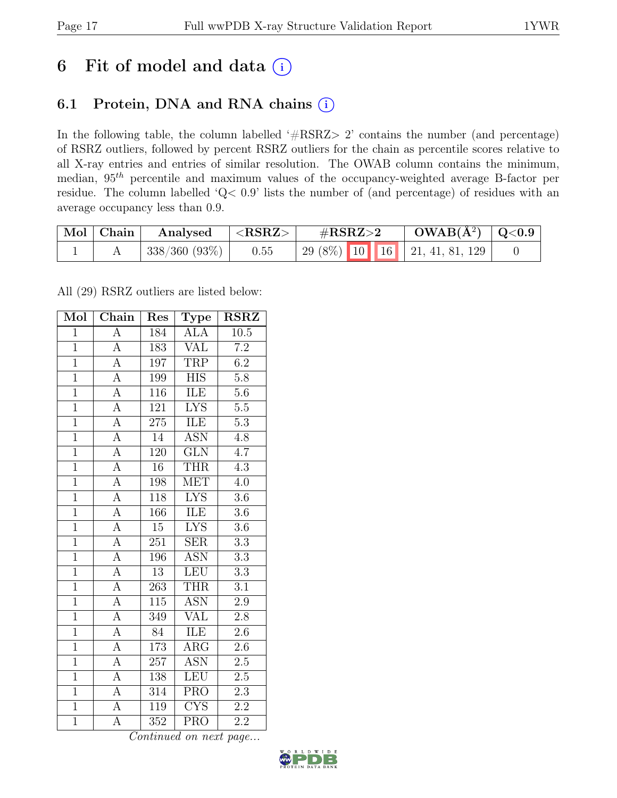# 6 Fit of model and data  $(i)$

## 6.1 Protein, DNA and RNA chains (i)

In the following table, the column labelled ' $\#\text{RSRZ}>2$ ' contains the number (and percentage) of RSRZ outliers, followed by percent RSRZ outliers for the chain as percentile scores relative to all X-ray entries and entries of similar resolution. The OWAB column contains the minimum, median,  $95<sup>th</sup>$  percentile and maximum values of the occupancy-weighted average B-factor per residue. The column labelled 'Q< 0.9' lists the number of (and percentage) of residues with an average occupancy less than 0.9.

| Mol | Chain | Analysed                  | $<$ RSRZ $>$ | $\#\text{RSRZ}\text{>2}$             | $OWAB(A^2)   Q<0.9$ |  |
|-----|-------|---------------------------|--------------|--------------------------------------|---------------------|--|
|     |       | $\frac{1}{338}/360(93\%)$ | 0.55         | $\mid$ 29 (8%) 10 16 21, 41, 81, 129 |                     |  |

All (29) RSRZ outliers are listed below:

| Mol            | $\overline{\text{Chain}}$ | Res             | $\mathrm{\bar{Ty}pe}$   | <b>RSRZ</b>      |
|----------------|---------------------------|-----------------|-------------------------|------------------|
| $\overline{1}$ | $\overline{A}$            | 184             | <b>ALA</b>              | 10.5             |
| $\overline{1}$ | $\overline{A}$            | 183             | VAL                     | $\overline{7.2}$ |
| $\overline{1}$ | $\overline{A}$            | 197             | <b>TRP</b>              | 6.2              |
| $\overline{1}$ | $\overline{A}$            | 199             | <b>HIS</b>              | 5.8              |
| $\overline{1}$ | $\overline{A}$            | 116             | ILE                     | $\overline{5.6}$ |
| $\overline{1}$ | $\overline{A}$            | 121             | <b>LYS</b>              | $5.5\,$          |
| $\overline{1}$ | $\overline{A}$            | 275             | ILE                     | $5.3\,$          |
| $\overline{1}$ | $\overline{A}$            | 14              | <b>ASN</b>              | 4.8              |
| $\overline{1}$ | $\overline{\rm A}$        | 120             | <b>GLN</b>              | $\overline{4.7}$ |
| $\overline{1}$ | $\overline{A}$            | $\overline{16}$ | <b>THR</b>              | $\overline{4.3}$ |
| $\overline{1}$ | A                         | 198             | MET                     | 4.0              |
| $\overline{1}$ | $\overline{A}$            | 118             | $\overline{\text{LYS}}$ | 3.6              |
| $\overline{1}$ | $\overline{A}$            | 166             | ILE                     | 3.6              |
| $\overline{1}$ | $\overline{A}$            | 15              | <b>LYS</b>              | $\overline{3.6}$ |
| $\overline{1}$ | $\overline{A}$            | 251             | $\overline{\text{SER}}$ | $\overline{3.3}$ |
| $\overline{1}$ | $\overline{A}$            | 196             | <b>ASN</b>              | $\overline{3.3}$ |
| $\overline{1}$ | $\overline{A}$            | $\overline{13}$ | LEU                     | $\overline{3.3}$ |
| $\overline{1}$ | $\overline{\rm A}$        | 263             | <b>THR</b>              | 3.1              |
| $\overline{1}$ | $\overline{A}$            | 115             | <b>ASN</b>              | $2.9\,$          |
| $\overline{1}$ | $\overline{A}$            | 349             | VAL                     | 2.8              |
| $\overline{1}$ | $\overline{A}$            | 84              | <b>ILE</b>              | 2.6              |
| $\overline{1}$ | $\overline{A}$            | 173             | $\overline{\text{ARG}}$ | $\overline{2.6}$ |
| $\mathbf{1}$   | A                         | 257             | <b>ASN</b>              | $2.5\,$          |
| $\overline{1}$ | $\overline{A}$            | 138             | <b>LEU</b>              | 2.5              |
| $\overline{1}$ | $\overline{A}$            | 314             | $\overline{PRO}$        | $\overline{2.3}$ |
| $\overline{1}$ | $\overline{\rm A}$        | 119             | $\overline{\text{CYS}}$ | $\overline{2.2}$ |
| $\overline{1}$ | $\overline{\rm A}$        | 352             | $\overline{\text{PRO}}$ | $\overline{2.2}$ |

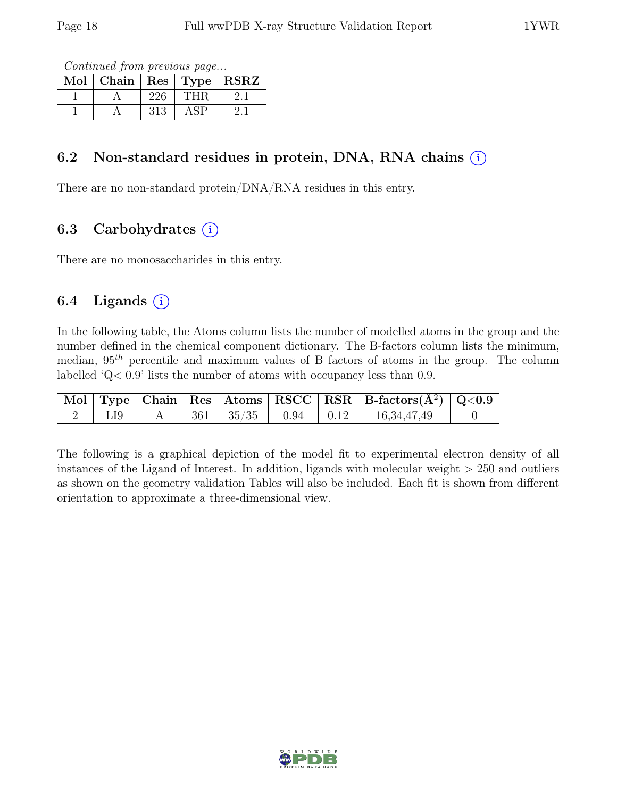Continued from previous page...

| Mol | Chain |     | $\lceil \overline{\text{Res}} \rceil$ Type | <b>RSRZ</b> |
|-----|-------|-----|--------------------------------------------|-------------|
|     |       |     |                                            |             |
|     |       | 313 |                                            |             |

### 6.2 Non-standard residues in protein, DNA, RNA chains  $(i)$

There are no non-standard protein/DNA/RNA residues in this entry.

## 6.3 Carbohydrates  $(i)$

There are no monosaccharides in this entry.

### 6.4 Ligands  $(i)$

In the following table, the Atoms column lists the number of modelled atoms in the group and the number defined in the chemical component dictionary. The B-factors column lists the minimum, median,  $95<sup>th</sup>$  percentile and maximum values of B factors of atoms in the group. The column labelled 'Q< 0.9' lists the number of atoms with occupancy less than 0.9.

|             |  |  | $\boxed{\text{ Mol}}$ Type   Chain   Res   Atoms   RSCC   RSR   B-factors $(\AA^2)$   Q<0.9 |  |
|-------------|--|--|---------------------------------------------------------------------------------------------|--|
| $\vert$ LI9 |  |  | A   361   $35/35$   0.94   0.12   16,34,47,49                                               |  |

The following is a graphical depiction of the model fit to experimental electron density of all instances of the Ligand of Interest. In addition, ligands with molecular weight  $> 250$  and outliers as shown on the geometry validation Tables will also be included. Each fit is shown from different orientation to approximate a three-dimensional view.